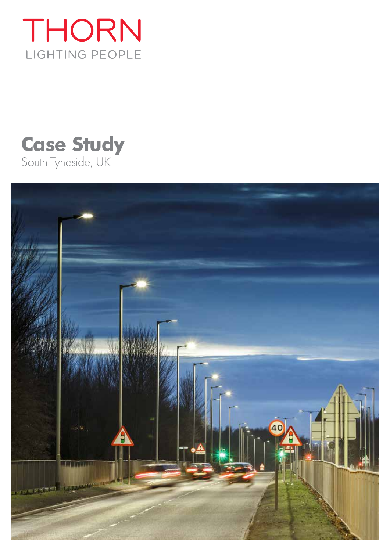

# **Case Study** South Tyneside, UK

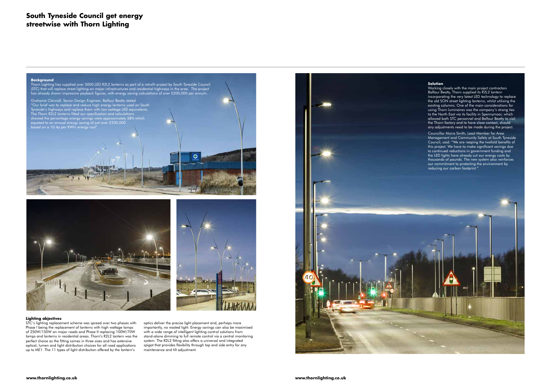## **South Tyneside Council get energy streetwise with Thorn Lighting**

#### **Lighting objectives**

STC's lighting replacement scheme was spread over two phases with Phase I being the replacement of lanterns with high wattage lamps of 250W/150W on major roads and Phase II replacing 100W/70W lamps and lanterns in residential areas. Thorn's R2L2 lantern was the perfect choice as the fitting comes in three sizes and has extensive optical, lumen and light distribution choices for all road applications up to ME1. The 11 types of light distribution offered by the lantern's

optics deliver the precise light placement and, perhaps more importantly, no wasted light. Energy savings can also be maximised with a wide range of intelligent lighting control solutions from stand-alone dimming to full remote control via a central monitoring system. The R2L2 fitting also offers a universal and integrated spigot that provides flexibility through top and side entry for any maintenance and tilt adjustment.



#### **Solution**

Working closely with the main project contractors Balfour Beatty, Thorn supplied its R2L2 lantern incorporating the very latest LED technology to replace the old SON street lighting lanterns, whilst utilising the existing columns. One of the main considerations for using Thorn luminaires was the company's strong ties to the North East via its facility in Spennymoor, which allowed both STC personnel and Balfour Beatty to visit the Thorn factory and to have close contact, should any adjustments need to be made during the project.

Councillor Moira Smith, Lead Member for Area Management and Community Safety at South Tyneside Council, said: "We are reaping the twofold benefits of this project. We have to make significant savings due to continued reductions in government funding and the LED lights have already cut our energy costs by thousands of pounds. The new system also reinforces our commitment to protecting the environment by reducing our carbon footprint."